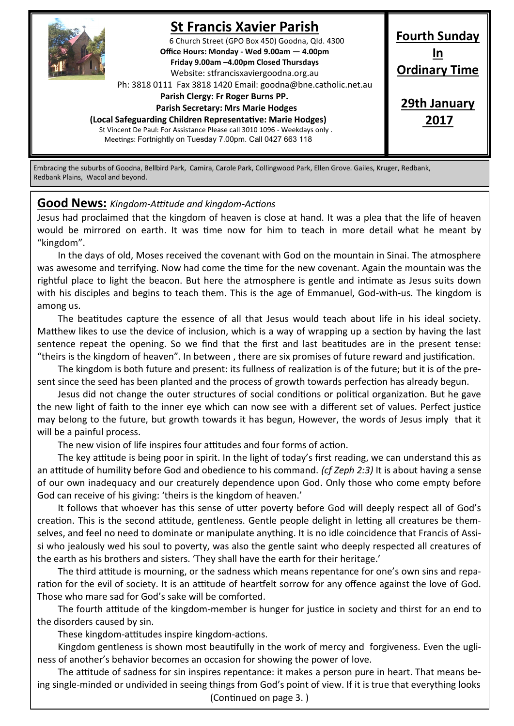

# **St Francis Xavier Parish**

6 Church Street (GPO Box 450) Goodna, Qld. 4300 **Office Hours: Monday - Wed 9.00am — 4.00pm Friday 9.00am –4.00pm Closed Thursdays**  Website: stfrancisxaviergoodna.org.au

Ph: 3818 0111 Fax 3818 1420 Email: goodna@bne.catholic.net.au

 **Parish Clergy: Fr Roger Burns PP.** 

 **Parish Secretary: Mrs Marie Hodges**

**(Local Safeguarding Children Representative: Marie Hodges)**

St Vincent De Paul: For Assistance Please call 3010 1096 - Weekdays only . Meetings: Fortnightly on Tuesday 7.00pm. Call 0427 663 118

**Fourth Sunday In Ordinary Time**

**29th January 2017**

Embracing the suburbs of Goodna, Bellbird Park, Camira, Carole Park, Collingwood Park, Ellen Grove. Gailes, Kruger, Redbank, Redbank Plains, Wacol and beyond.

#### **Good News:** *Kingdom-Attitude and kingdom-Actions*

Jesus had proclaimed that the kingdom of heaven is close at hand. It was a plea that the life of heaven would be mirrored on earth. It was time now for him to teach in more detail what he meant by "kingdom".

In the days of old, Moses received the covenant with God on the mountain in Sinai. The atmosphere was awesome and terrifying. Now had come the time for the new covenant. Again the mountain was the rightful place to light the beacon. But here the atmosphere is gentle and intimate as Jesus suits down with his disciples and begins to teach them. This is the age of Emmanuel, God-with-us. The kingdom is among us.

The beatitudes capture the essence of all that Jesus would teach about life in his ideal society. Matthew likes to use the device of inclusion, which is a way of wrapping up a section by having the last sentence repeat the opening. So we find that the first and last beatitudes are in the present tense: "theirs is the kingdom of heaven". In between , there are six promises of future reward and justification.

The kingdom is both future and present: its fullness of realization is of the future; but it is of the present since the seed has been planted and the process of growth towards perfection has already begun.

Jesus did not change the outer structures of social conditions or political organization. But he gave the new light of faith to the inner eye which can now see with a different set of values. Perfect justice may belong to the future, but growth towards it has begun, However, the words of Jesus imply that it will be a painful process.

The new vision of life inspires four attitudes and four forms of action.

The key attitude is being poor in spirit. In the light of today's first reading, we can understand this as an attitude of humility before God and obedience to his command. *(cf Zeph 2:3)* It is about having a sense of our own inadequacy and our creaturely dependence upon God. Only those who come empty before God can receive of his giving: 'theirs is the kingdom of heaven.'

It follows that whoever has this sense of utter poverty before God will deeply respect all of God's creation. This is the second attitude, gentleness. Gentle people delight in letting all creatures be themselves, and feel no need to dominate or manipulate anything. It is no idle coincidence that Francis of Assisi who jealously wed his soul to poverty, was also the gentle saint who deeply respected all creatures of the earth as his brothers and sisters. 'They shall have the earth for their heritage.'

The third attitude is mourning, or the sadness which means repentance for one's own sins and reparation for the evil of society. It is an attitude of heartfelt sorrow for any offence against the love of God. Those who mare sad for God's sake will be comforted.

The fourth attitude of the kingdom-member is hunger for justice in society and thirst for an end to the disorders caused by sin.

These kingdom-attitudes inspire kingdom-actions.

Kingdom gentleness is shown most beautifully in the work of mercy and forgiveness. Even the ugliness of another's behavior becomes an occasion for showing the power of love.

The attitude of sadness for sin inspires repentance: it makes a person pure in heart. That means being single-minded or undivided in seeing things from God's point of view. If it is true that everything looks (Continued on page 3. )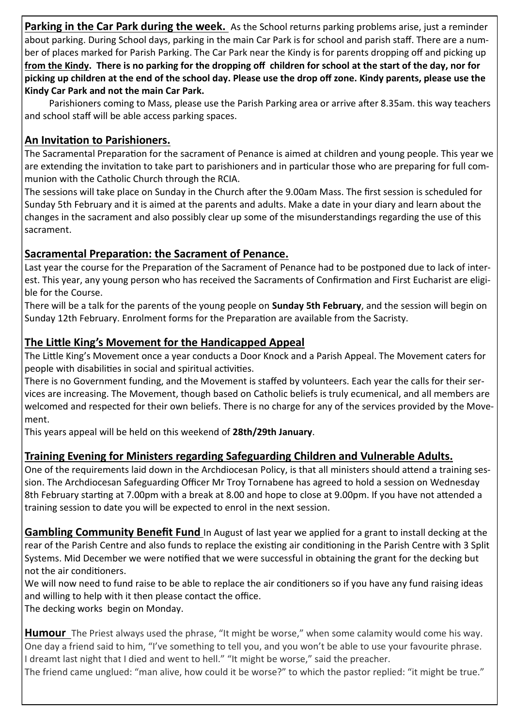**Parking in the Car Park during the week.** As the School returns parking problems arise, just a reminder about parking. During School days, parking in the main Car Park is for school and parish staff. There are a number of places marked for Parish Parking. The Car Park near the Kindy is for parents dropping off and picking up **from the Kindy. There is no parking for the dropping off children for school at the start of the day, nor for picking up children at the end of the school day. Please use the drop off zone. Kindy parents, please use the Kindy Car Park and not the main Car Park.**

Parishioners coming to Mass, please use the Parish Parking area or arrive after 8.35am. this way teachers and school staff will be able access parking spaces.

### **An Invitation to Parishioners.**

The Sacramental Preparation for the sacrament of Penance is aimed at children and young people. This year we are extending the invitation to take part to parishioners and in particular those who are preparing for full communion with the Catholic Church through the RCIA.

The sessions will take place on Sunday in the Church after the 9.00am Mass. The first session is scheduled for Sunday 5th February and it is aimed at the parents and adults. Make a date in your diary and learn about the changes in the sacrament and also possibly clear up some of the misunderstandings regarding the use of this sacrament.

### **Sacramental Preparation: the Sacrament of Penance.**

Last year the course for the Preparation of the Sacrament of Penance had to be postponed due to lack of interest. This year, any young person who has received the Sacraments of Confirmation and First Eucharist are eligible for the Course.

There will be a talk for the parents of the young people on **Sunday 5th February**, and the session will begin on Sunday 12th February. Enrolment forms for the Preparation are available from the Sacristy.

## **The Little King's Movement for the Handicapped Appeal**

The Little King's Movement once a year conducts a Door Knock and a Parish Appeal. The Movement caters for people with disabilities in social and spiritual activities.

There is no Government funding, and the Movement is staffed by volunteers. Each year the calls for their services are increasing. The Movement, though based on Catholic beliefs is truly ecumenical, and all members are welcomed and respected for their own beliefs. There is no charge for any of the services provided by the Movement.

This years appeal will be held on this weekend of **28th/29th January**.

## **Training Evening for Ministers regarding Safeguarding Children and Vulnerable Adults.**

One of the requirements laid down in the Archdiocesan Policy, is that all ministers should attend a training session. The Archdiocesan Safeguarding Officer Mr Troy Tornabene has agreed to hold a session on Wednesday 8th February starting at 7.00pm with a break at 8.00 and hope to close at 9.00pm. If you have not attended a training session to date you will be expected to enrol in the next session.

**Gambling Community Benefit Fund** In August of last year we applied for a grant to install decking at the rear of the Parish Centre and also funds to replace the existing air conditioning in the Parish Centre with 3 Split Systems. Mid December we were notified that we were successful in obtaining the grant for the decking but not the air conditioners.

We will now need to fund raise to be able to replace the air conditioners so if you have any fund raising ideas and willing to help with it then please contact the office.

The decking works begin on Monday.

**Humour** The Priest always used the phrase, "It might be worse," when some calamity would come his way. One day a friend said to him, "I've something to tell you, and you won't be able to use your favourite phrase. I dreamt last night that I died and went to hell." "It might be worse," said the preacher.

The friend came unglued: "man alive, how could it be worse?" to which the pastor replied: "it might be true."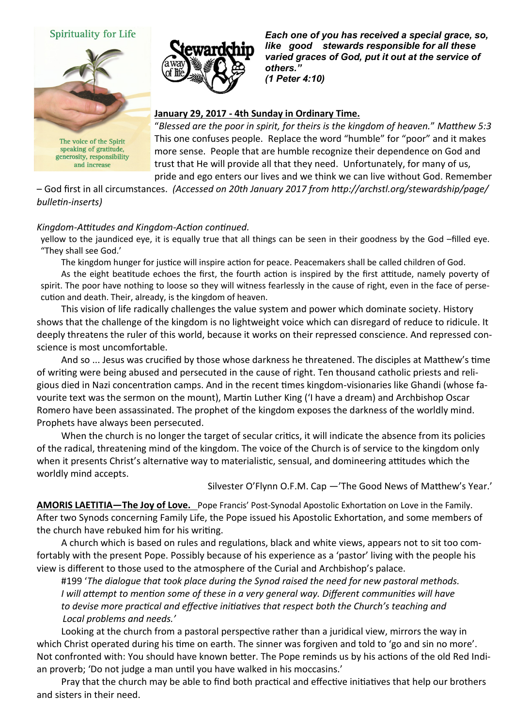#### Spirituality for Life



The voice of the Spirit speaking of gratitude, generosity, responsibility and increase



*Each one of you has received a special grace, so, like good stewards responsible for all these varied graces of God, put it out at the service of others." (1 Peter 4:10)* 

#### **January 29, 2017 - 4th Sunday in Ordinary Time.**

"*Blessed are the poor in spirit, for theirs is the kingdom of heaven.*" *Matthew 5:3*  This one confuses people. Replace the word "humble" for "poor" and it makes more sense. People that are humble recognize their dependence on God and trust that He will provide all that they need. Unfortunately, for many of us, pride and ego enters our lives and we think we can live without God. Remember

– God first in all circumstances. *(Accessed on 20th January 2017 from http://archstl.org/stewardship/page/ bulletin-inserts)*

#### *Kingdom-Attitudes and Kingdom-Action continued.*

yellow to the jaundiced eye, it is equally true that all things can be seen in their goodness by the God –filled eye. "They shall see God.'

The kingdom hunger for justice will inspire action for peace. Peacemakers shall be called children of God.

As the eight beatitude echoes the first, the fourth action is inspired by the first attitude, namely poverty of spirit. The poor have nothing to loose so they will witness fearlessly in the cause of right, even in the face of persecution and death. Their, already, is the kingdom of heaven.

This vision of life radically challenges the value system and power which dominate society. History shows that the challenge of the kingdom is no lightweight voice which can disregard of reduce to ridicule. It deeply threatens the ruler of this world, because it works on their repressed conscience. And repressed conscience is most uncomfortable.

And so ... Jesus was crucified by those whose darkness he threatened. The disciples at Matthew's time of writing were being abused and persecuted in the cause of right. Ten thousand catholic priests and religious died in Nazi concentration camps. And in the recent times kingdom-visionaries like Ghandi (whose favourite text was the sermon on the mount), Martin Luther King ('I have a dream) and Archbishop Oscar Romero have been assassinated. The prophet of the kingdom exposes the darkness of the worldly mind. Prophets have always been persecuted.

When the church is no longer the target of secular critics, it will indicate the absence from its policies of the radical, threatening mind of the kingdom. The voice of the Church is of service to the kingdom only when it presents Christ's alternative way to materialistic, sensual, and domineering attitudes which the worldly mind accepts.

Silvester O'Flynn O.F.M. Cap —'The Good News of Matthew's Year.'

**AMORIS LAETITIA—The Joy of Love.** Pope Francis' Post-Synodal Apostolic Exhortation on Love in the Family. After two Synods concerning Family Life, the Pope issued his Apostolic Exhortation, and some members of the church have rebuked him for his writing.

A church which is based on rules and regulations, black and white views, appears not to sit too comfortably with the present Pope. Possibly because of his experience as a 'pastor' living with the people his view is different to those used to the atmosphere of the Curial and Archbishop's palace.

#199 '*The dialogue that took place during the Synod raised the need for new pastoral methods. I will attempt to mention some of these in a very general way. Different communities will have to devise more practical and effective initiatives that respect both the Church's teaching and Local problems and needs.'*

Looking at the church from a pastoral perspective rather than a juridical view, mirrors the way in which Christ operated during his time on earth. The sinner was forgiven and told to 'go and sin no more'. Not confronted with: You should have known better. The Pope reminds us by his actions of the old Red Indian proverb; 'Do not judge a man until you have walked in his moccasins.'

Pray that the church may be able to find both practical and effective initiatives that help our brothers and sisters in their need.